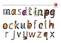At Stowlawn we follow RWI. As part of the scheme each letter has a picture and a rhyme linked to support handwriting.